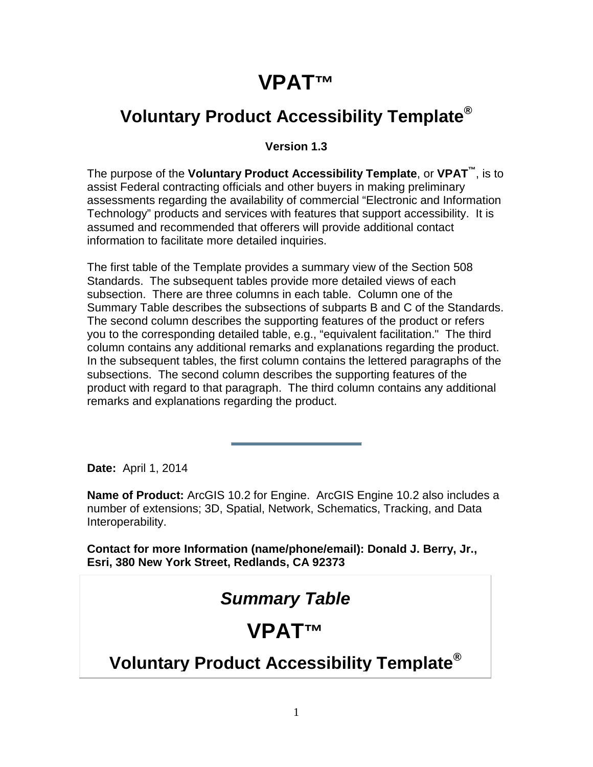# **VPAT™**

# **Voluntary Product Accessibility Template®**

#### **Version 1.3**

The purpose of the **Voluntary Product Accessibility Template**, or **VPAT™**, is to assist Federal contracting officials and other buyers in making preliminary assessments regarding the availability of commercial "Electronic and Information Technology" products and services with features that support accessibility. It is assumed and recommended that offerers will provide additional contact information to facilitate more detailed inquiries.

The first table of the Template provides a summary view of the Section 508 Standards. The subsequent tables provide more detailed views of each subsection. There are three columns in each table. Column one of the Summary Table describes the subsections of subparts B and C of the Standards. The second column describes the supporting features of the product or refers you to the corresponding detailed table, e.g., "equivalent facilitation." The third column contains any additional remarks and explanations regarding the product. In the subsequent tables, the first column contains the lettered paragraphs of the subsections. The second column describes the supporting features of the product with regard to that paragraph. The third column contains any additional remarks and explanations regarding the product.

**Date:** April 1, 2014

**Name of Product:** ArcGIS 10.2 for Engine. ArcGIS Engine 10.2 also includes a number of extensions; 3D, Spatial, Network, Schematics, Tracking, and Data Interoperability.

**Contact for more Information (name/phone/email): Donald J. Berry, Jr., Esri, 380 New York Street, Redlands, CA 92373**

#### *Summary Table*

# **VPAT™**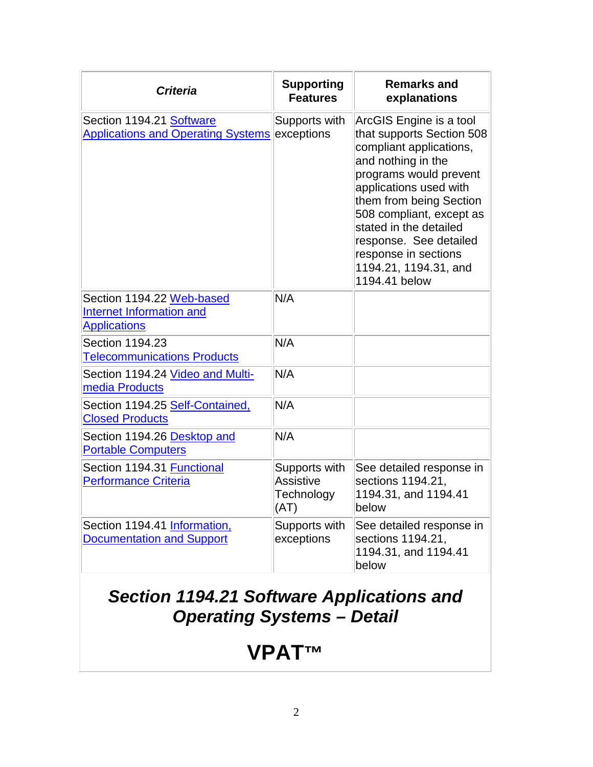| <b>Criteria</b>                                                                     | <b>Supporting</b><br><b>Features</b>                    | <b>Remarks and</b><br>explanations                                                                                                                                                                                                                                                                                                     |
|-------------------------------------------------------------------------------------|---------------------------------------------------------|----------------------------------------------------------------------------------------------------------------------------------------------------------------------------------------------------------------------------------------------------------------------------------------------------------------------------------------|
| Section 1194.21 Software<br>Applications and Operating Systems exceptions           | Supports with                                           | ArcGIS Engine is a tool<br>that supports Section 508<br>compliant applications,<br>and nothing in the<br>programs would prevent<br>applications used with<br>them from being Section<br>508 compliant, except as<br>stated in the detailed<br>response. See detailed<br>response in sections<br>1194.21, 1194.31, and<br>1194.41 below |
| Section 1194.22 Web-based<br><b>Internet Information and</b><br><b>Applications</b> | N/A                                                     |                                                                                                                                                                                                                                                                                                                                        |
| Section 1194.23<br><b>Telecommunications Products</b>                               | N/A                                                     |                                                                                                                                                                                                                                                                                                                                        |
| Section 1194.24 Video and Multi-<br>media Products                                  | N/A                                                     |                                                                                                                                                                                                                                                                                                                                        |
| Section 1194.25 Self-Contained,<br><b>Closed Products</b>                           | N/A                                                     |                                                                                                                                                                                                                                                                                                                                        |
| Section 1194.26 Desktop and<br><b>Portable Computers</b>                            | N/A                                                     |                                                                                                                                                                                                                                                                                                                                        |
| Section 1194.31 Functional<br><b>Performance Criteria</b>                           | Supports with<br><b>Assistive</b><br>Technology<br>(AT) | See detailed response in<br>sections 1194.21,<br>1194.31, and 1194.41<br>below                                                                                                                                                                                                                                                         |
| Section 1194.41 Information,<br><b>Documentation and Support</b>                    | Supports with<br>exceptions                             | See detailed response in<br>sections 1194.21,<br>1194.31, and 1194.41<br>below                                                                                                                                                                                                                                                         |

#### *Section 1194.21 Software Applications and Operating Systems – Detail*

# **VPAT™**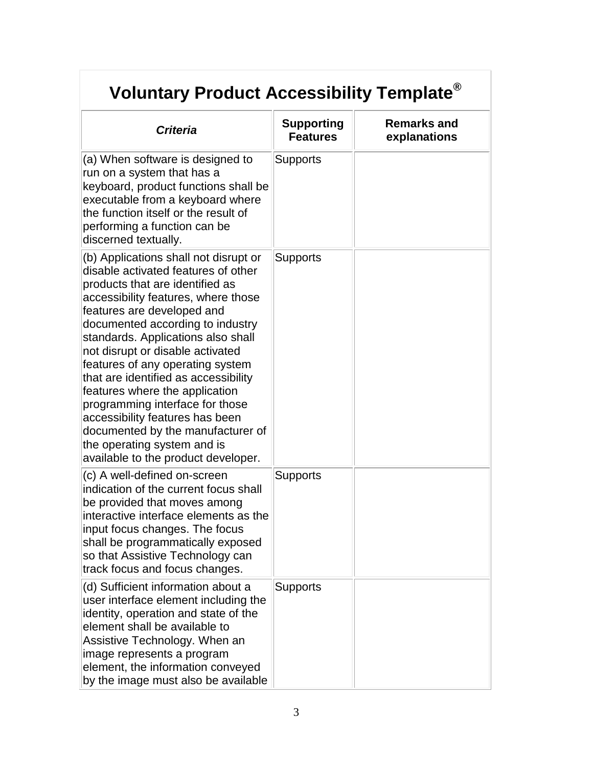| <b>Criteria</b>                                                                                                                                                                                                                                                                                                                                                                                                                                                                                                                                                                                   | <b>Supporting</b><br><b>Features</b> | <b>Remarks and</b><br>explanations |
|---------------------------------------------------------------------------------------------------------------------------------------------------------------------------------------------------------------------------------------------------------------------------------------------------------------------------------------------------------------------------------------------------------------------------------------------------------------------------------------------------------------------------------------------------------------------------------------------------|--------------------------------------|------------------------------------|
| (a) When software is designed to<br>run on a system that has a<br>keyboard, product functions shall be<br>executable from a keyboard where<br>the function itself or the result of<br>performing a function can be<br>discerned textually.                                                                                                                                                                                                                                                                                                                                                        | <b>Supports</b>                      |                                    |
| (b) Applications shall not disrupt or<br>disable activated features of other<br>products that are identified as<br>accessibility features, where those<br>features are developed and<br>documented according to industry<br>standards. Applications also shall<br>not disrupt or disable activated<br>features of any operating system<br>that are identified as accessibility<br>features where the application<br>programming interface for those<br>accessibility features has been<br>documented by the manufacturer of<br>the operating system and is<br>available to the product developer. | <b>Supports</b>                      |                                    |
| (c) A well-defined on-screen<br>indication of the current focus shall<br>be provided that moves among<br>interactive interface elements as the<br>input focus changes. The focus<br>shall be programmatically exposed<br>so that Assistive Technology can<br>track focus and focus changes.                                                                                                                                                                                                                                                                                                       | <b>Supports</b>                      |                                    |
| (d) Sufficient information about a<br>user interface element including the<br>identity, operation and state of the<br>element shall be available to<br>Assistive Technology. When an<br>image represents a program<br>element, the information conveyed<br>by the image must also be available                                                                                                                                                                                                                                                                                                    | <b>Supports</b>                      |                                    |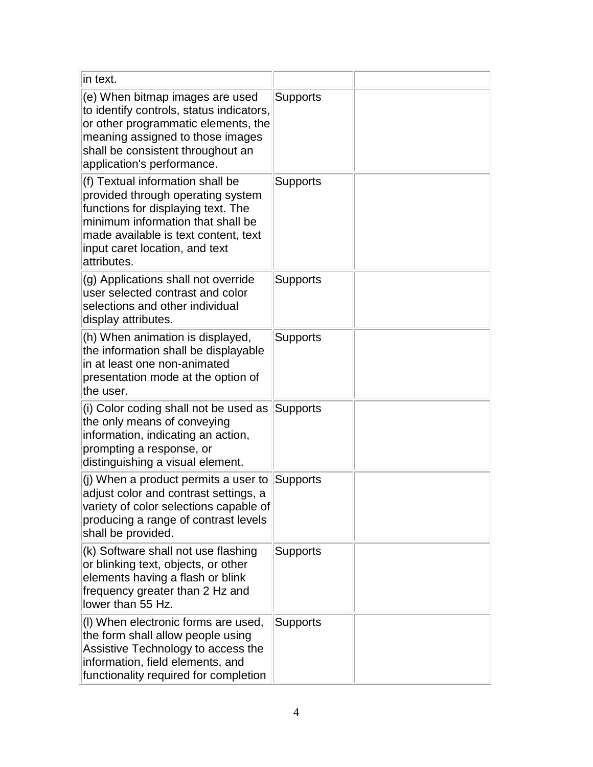| in text.                                                                                                                                                                                                                                  |                 |  |
|-------------------------------------------------------------------------------------------------------------------------------------------------------------------------------------------------------------------------------------------|-----------------|--|
| (e) When bitmap images are used<br>to identify controls, status indicators,<br>or other programmatic elements, the<br>meaning assigned to those images<br>shall be consistent throughout an<br>application's performance.                 | Supports        |  |
| (f) Textual information shall be<br>provided through operating system<br>functions for displaying text. The<br>minimum information that shall be<br>made available is text content, text<br>input caret location, and text<br>attributes. | <b>Supports</b> |  |
| (g) Applications shall not override<br>user selected contrast and color<br>selections and other individual<br>display attributes.                                                                                                         | <b>Supports</b> |  |
| (h) When animation is displayed,<br>the information shall be displayable<br>in at least one non-animated<br>presentation mode at the option of<br>the user.                                                                               | Supports        |  |
| (i) Color coding shall not be used as<br>the only means of conveying<br>information, indicating an action,<br>prompting a response, or<br>distinguishing a visual element.                                                                | Supports        |  |
| (j) When a product permits a user to<br>adjust color and contrast settings, a<br>variety of color selections capable of<br>producing a range of contrast levels<br>shall be provided.                                                     | Supports        |  |
| (k) Software shall not use flashing<br>or blinking text, objects, or other<br>elements having a flash or blink<br>frequency greater than 2 Hz and<br>lower than 55 Hz.                                                                    | Supports        |  |
| (I) When electronic forms are used,<br>the form shall allow people using<br>Assistive Technology to access the<br>information, field elements, and<br>functionality required for completion                                               | Supports        |  |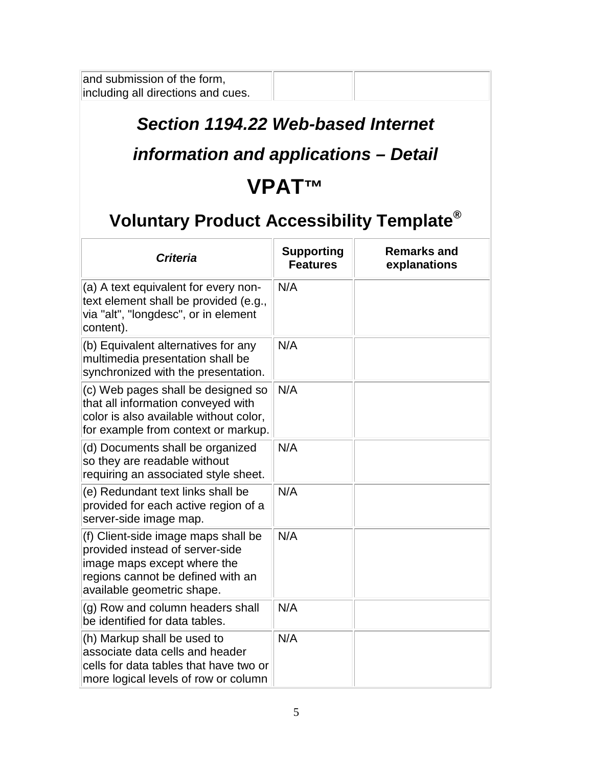and submission of the form, including all directions and cues.

#### *Section 1194.22 Web-based Internet*

#### *information and applications – Detail*

# **VPAT™**

| <b>Criteria</b>                                                                                                                                                          | <b>Supporting</b><br><b>Features</b> | <b>Remarks and</b><br>explanations |
|--------------------------------------------------------------------------------------------------------------------------------------------------------------------------|--------------------------------------|------------------------------------|
| (a) A text equivalent for every non-<br>text element shall be provided (e.g.,<br>via "alt", "longdesc", or in element<br>content).                                       | N/A                                  |                                    |
| (b) Equivalent alternatives for any<br>multimedia presentation shall be<br>synchronized with the presentation.                                                           | N/A                                  |                                    |
| (c) Web pages shall be designed so<br>that all information conveyed with<br>color is also available without color,<br>for example from context or markup.                | N/A                                  |                                    |
| (d) Documents shall be organized<br>so they are readable without<br>requiring an associated style sheet.                                                                 | N/A                                  |                                    |
| (e) Redundant text links shall be<br>provided for each active region of a<br>server-side image map.                                                                      | N/A                                  |                                    |
| (f) Client-side image maps shall be<br>provided instead of server-side<br>image maps except where the<br>regions cannot be defined with an<br>available geometric shape. | N/A                                  |                                    |
| (g) Row and column headers shall<br>be identified for data tables.                                                                                                       | N/A                                  |                                    |
| (h) Markup shall be used to<br>associate data cells and header<br>cells for data tables that have two or<br>more logical levels of row or column                         | N/A                                  |                                    |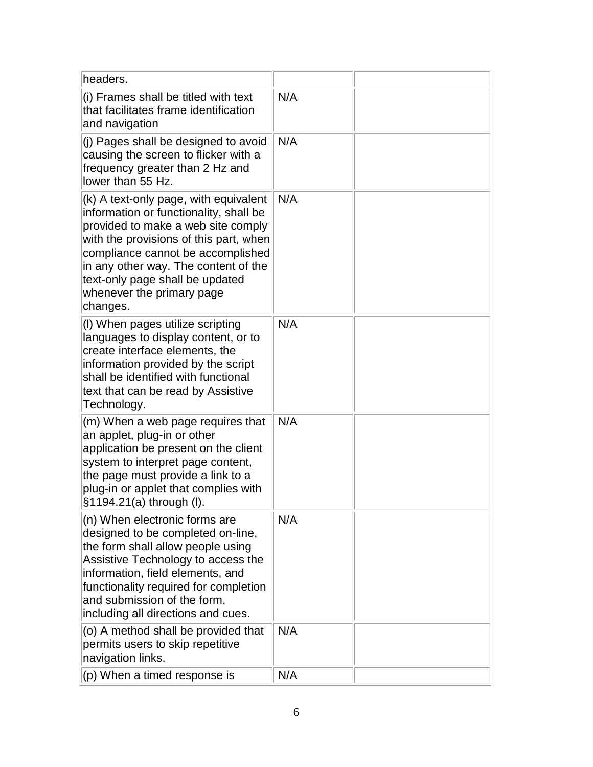| headers.                                                                                                                                                                                                                                                                                                                 |     |  |
|--------------------------------------------------------------------------------------------------------------------------------------------------------------------------------------------------------------------------------------------------------------------------------------------------------------------------|-----|--|
| (i) Frames shall be titled with text<br>that facilitates frame identification<br>and navigation                                                                                                                                                                                                                          | N/A |  |
| (i) Pages shall be designed to avoid<br>causing the screen to flicker with a<br>frequency greater than 2 Hz and<br>lower than 55 Hz.                                                                                                                                                                                     | N/A |  |
| (k) A text-only page, with equivalent<br>information or functionality, shall be<br>provided to make a web site comply<br>with the provisions of this part, when<br>compliance cannot be accomplished<br>in any other way. The content of the<br>text-only page shall be updated<br>whenever the primary page<br>changes. | N/A |  |
| (I) When pages utilize scripting<br>languages to display content, or to<br>create interface elements, the<br>information provided by the script<br>shall be identified with functional<br>text that can be read by Assistive<br>Technology.                                                                              | N/A |  |
| (m) When a web page requires that<br>an applet, plug-in or other<br>application be present on the client<br>system to interpret page content,<br>the page must provide a link to a<br>plug-in or applet that complies with<br>§1194.21(a) through (I).                                                                   | N/A |  |
| (n) When electronic forms are<br>designed to be completed on-line,<br>the form shall allow people using<br>Assistive Technology to access the<br>information, field elements, and<br>functionality required for completion<br>and submission of the form,<br>including all directions and cues.                          | N/A |  |
| (o) A method shall be provided that<br>permits users to skip repetitive<br>navigation links.                                                                                                                                                                                                                             | N/A |  |
| (p) When a timed response is                                                                                                                                                                                                                                                                                             | N/A |  |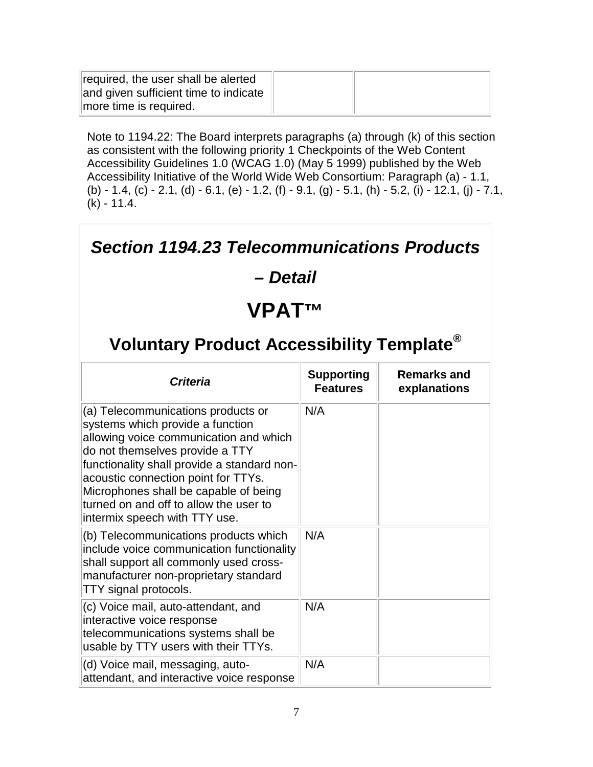| required, the user shall be alerted<br>and given sufficient time to indicate |  |
|------------------------------------------------------------------------------|--|
| more time is required.                                                       |  |

Note to 1194.22: The Board interprets paragraphs (a) through (k) of this section as consistent with the following priority 1 Checkpoints of the Web Content Accessibility Guidelines 1.0 (WCAG 1.0) (May 5 1999) published by the Web Accessibility Initiative of the World Wide Web Consortium: Paragraph (a) - 1.1, (b) - 1.4, (c) - 2.1, (d) - 6.1, (e) - 1.2, (f) - 9.1, (g) - 5.1, (h) - 5.2, (i) - 12.1, (j) - 7.1, (k) - 11.4.

#### *Section 1194.23 Telecommunications Products*

#### *– Detail*

# **VPAT™**

| Criteria                                                                                                                                                                                                                                                                                                                                                      | <b>Supporting</b><br><b>Features</b> | Remarks and<br>explanations |
|---------------------------------------------------------------------------------------------------------------------------------------------------------------------------------------------------------------------------------------------------------------------------------------------------------------------------------------------------------------|--------------------------------------|-----------------------------|
| (a) Telecommunications products or<br>systems which provide a function<br>allowing voice communication and which<br>do not themselves provide a TTY<br>functionality shall provide a standard non-<br>acoustic connection point for TTYs.<br>Microphones shall be capable of being<br>turned on and off to allow the user to<br>intermix speech with TTY use. | N/A                                  |                             |
| (b) Telecommunications products which<br>include voice communication functionality<br>shall support all commonly used cross-<br>manufacturer non-proprietary standard<br>TTY signal protocols.                                                                                                                                                                | N/A                                  |                             |
| (c) Voice mail, auto-attendant, and<br>interactive voice response<br>telecommunications systems shall be<br>usable by TTY users with their TTYs.                                                                                                                                                                                                              | N/A                                  |                             |
| (d) Voice mail, messaging, auto-<br>attendant, and interactive voice response                                                                                                                                                                                                                                                                                 | N/A                                  |                             |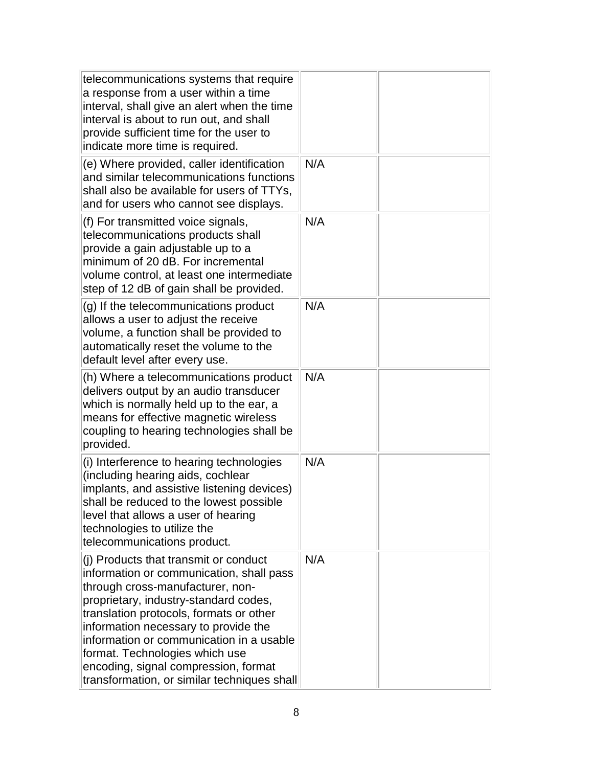| telecommunications systems that require<br>a response from a user within a time<br>interval, shall give an alert when the time<br>interval is about to run out, and shall<br>provide sufficient time for the user to<br>indicate more time is required.                                                                                                                                                                |     |  |
|------------------------------------------------------------------------------------------------------------------------------------------------------------------------------------------------------------------------------------------------------------------------------------------------------------------------------------------------------------------------------------------------------------------------|-----|--|
| (e) Where provided, caller identification<br>and similar telecommunications functions<br>shall also be available for users of TTYs,<br>and for users who cannot see displays.                                                                                                                                                                                                                                          | N/A |  |
| (f) For transmitted voice signals,<br>telecommunications products shall<br>provide a gain adjustable up to a<br>minimum of 20 dB. For incremental<br>volume control, at least one intermediate<br>step of 12 dB of gain shall be provided.                                                                                                                                                                             | N/A |  |
| (g) If the telecommunications product<br>allows a user to adjust the receive<br>volume, a function shall be provided to<br>automatically reset the volume to the<br>default level after every use.                                                                                                                                                                                                                     | N/A |  |
| (h) Where a telecommunications product<br>delivers output by an audio transducer<br>which is normally held up to the ear, a<br>means for effective magnetic wireless<br>coupling to hearing technologies shall be<br>provided.                                                                                                                                                                                         | N/A |  |
| (i) Interference to hearing technologies<br>(including hearing aids, cochlear<br>implants, and assistive listening devices)<br>shall be reduced to the lowest possible<br>level that allows a user of hearing<br>technologies to utilize the<br>telecommunications product.                                                                                                                                            | N/A |  |
| (j) Products that transmit or conduct<br>information or communication, shall pass<br>through cross-manufacturer, non-<br>proprietary, industry-standard codes,<br>translation protocols, formats or other<br>information necessary to provide the<br>information or communication in a usable<br>format. Technologies which use<br>encoding, signal compression, format<br>transformation, or similar techniques shall | N/A |  |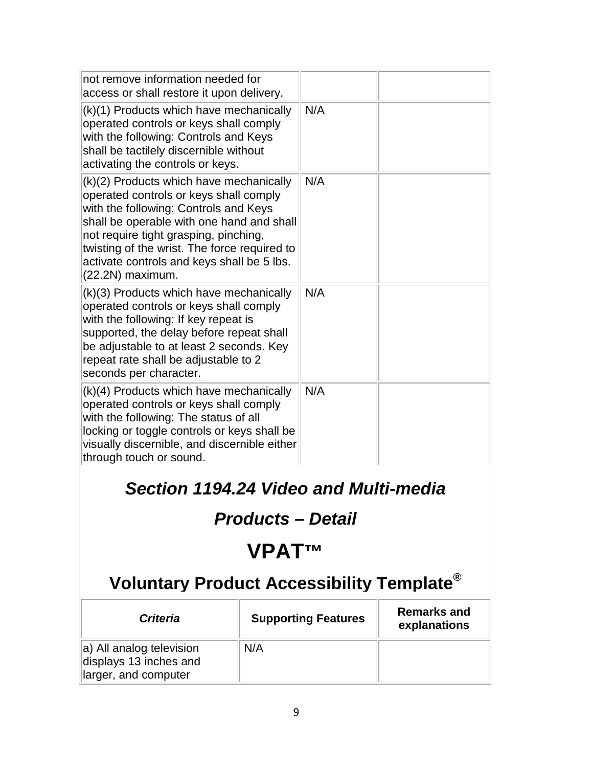| not remove information needed for<br>access or shall restore it upon delivery.                                                                                                                                                                                                                                                     |     |
|------------------------------------------------------------------------------------------------------------------------------------------------------------------------------------------------------------------------------------------------------------------------------------------------------------------------------------|-----|
| (k)(1) Products which have mechanically<br>operated controls or keys shall comply<br>with the following: Controls and Keys<br>shall be tactilely discernible without<br>activating the controls or keys.                                                                                                                           | N/A |
| (k)(2) Products which have mechanically<br>operated controls or keys shall comply<br>with the following: Controls and Keys<br>shall be operable with one hand and shall<br>not require tight grasping, pinching,<br>twisting of the wrist. The force required to<br>activate controls and keys shall be 5 lbs.<br>(22.2N) maximum. | N/A |
| (k)(3) Products which have mechanically<br>operated controls or keys shall comply<br>with the following: If key repeat is<br>supported, the delay before repeat shall<br>be adjustable to at least 2 seconds. Key<br>repeat rate shall be adjustable to 2<br>seconds per character.                                                | N/A |
| (k)(4) Products which have mechanically<br>operated controls or keys shall comply<br>with the following: The status of all<br>locking or toggle controls or keys shall be<br>visually discernible, and discernible either<br>through touch or sound.                                                                               | N/A |

### *Section 1194.24 Video and Multi-media*

# *Products – Detail*

# **VPAT™**

| <b>Criteria</b>                                                            | <b>Supporting Features</b> | <b>Remarks and</b><br>explanations |
|----------------------------------------------------------------------------|----------------------------|------------------------------------|
| a) All analog television<br>displays 13 inches and<br>larger, and computer | N/A                        |                                    |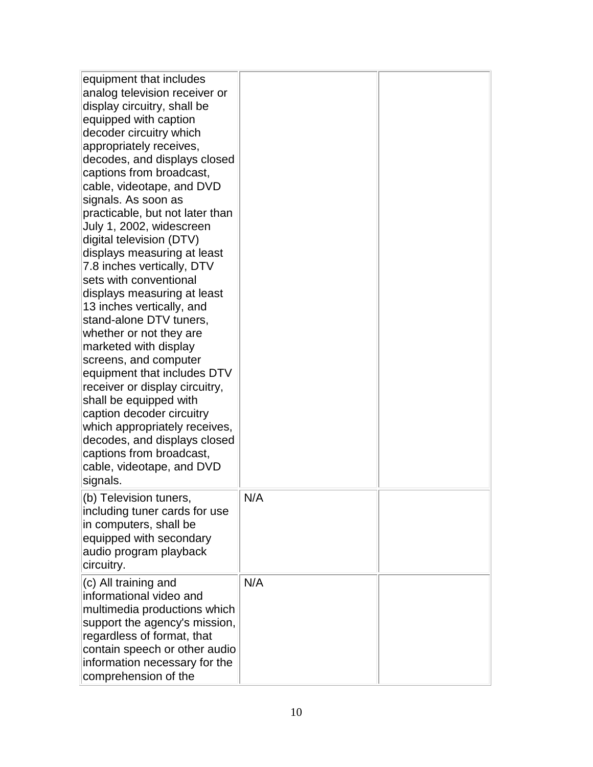| equipment that includes<br>analog television receiver or<br>display circuitry, shall be<br>equipped with caption<br>decoder circuitry which<br>appropriately receives,<br>decodes, and displays closed<br>captions from broadcast,<br>cable, videotape, and DVD<br>signals. As soon as<br>practicable, but not later than<br>July 1, 2002, widescreen<br>digital television (DTV)<br>displays measuring at least<br>7.8 inches vertically, DTV<br>sets with conventional<br>displays measuring at least<br>13 inches vertically, and<br>stand-alone DTV tuners,<br>whether or not they are<br>marketed with display<br>screens, and computer<br>equipment that includes DTV<br>receiver or display circuitry,<br>shall be equipped with<br>caption decoder circuitry<br>which appropriately receives,<br>decodes, and displays closed<br>captions from broadcast,<br>cable, videotape, and DVD<br>signals.<br>(b) Television tuners,<br>including tuner cards for use<br>in computers, shall be<br>equipped with secondary<br>audio program playback<br>circuitry. | N/A |  |
|--------------------------------------------------------------------------------------------------------------------------------------------------------------------------------------------------------------------------------------------------------------------------------------------------------------------------------------------------------------------------------------------------------------------------------------------------------------------------------------------------------------------------------------------------------------------------------------------------------------------------------------------------------------------------------------------------------------------------------------------------------------------------------------------------------------------------------------------------------------------------------------------------------------------------------------------------------------------------------------------------------------------------------------------------------------------|-----|--|
| $(c)$ All training and                                                                                                                                                                                                                                                                                                                                                                                                                                                                                                                                                                                                                                                                                                                                                                                                                                                                                                                                                                                                                                             | N/A |  |
| informational video and<br>multimedia productions which<br>support the agency's mission,<br>regardless of format, that<br>contain speech or other audio<br>information necessary for the<br>comprehension of the                                                                                                                                                                                                                                                                                                                                                                                                                                                                                                                                                                                                                                                                                                                                                                                                                                                   |     |  |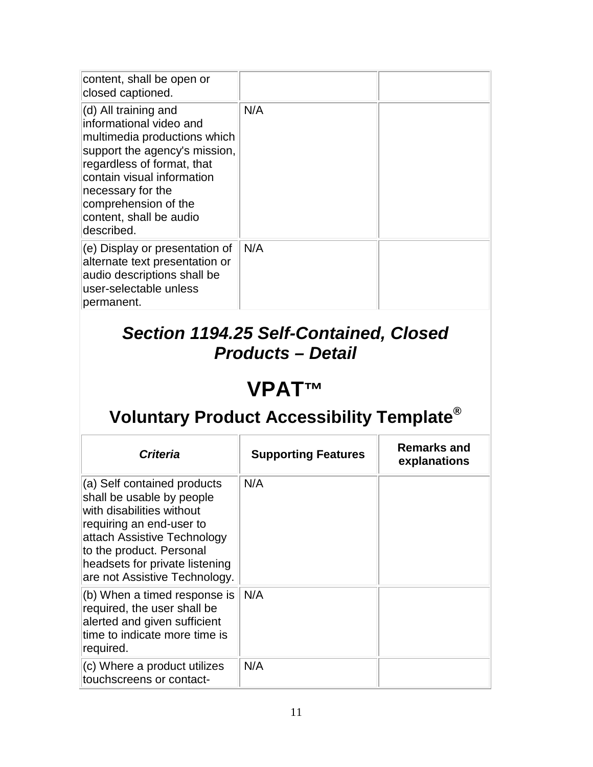| content, shall be open or<br>closed captioned.                                                                                                                                                                                                                             |     |  |
|----------------------------------------------------------------------------------------------------------------------------------------------------------------------------------------------------------------------------------------------------------------------------|-----|--|
| $\vert$ (d) All training and<br>informational video and<br>multimedia productions which<br>support the agency's mission,<br>regardless of format, that<br>contain visual information<br>necessary for the<br>comprehension of the<br>content, shall be audio<br>described. | N/A |  |
| $(e)$ Display or presentation of<br>alternate text presentation or<br>audio descriptions shall be<br>user-selectable unless<br>permanent.                                                                                                                                  | N/A |  |

#### *Section 1194.25 Self-Contained, Closed Products – Detail*

# **VPAT™**

| <b>Criteria</b>                                                                                                                                                                                                                                 | <b>Supporting Features</b> | <b>Remarks and</b><br>explanations |
|-------------------------------------------------------------------------------------------------------------------------------------------------------------------------------------------------------------------------------------------------|----------------------------|------------------------------------|
| (a) Self contained products<br>shall be usable by people<br>with disabilities without<br>requiring an end-user to<br>attach Assistive Technology<br>to the product. Personal<br>headsets for private listening<br>are not Assistive Technology. | N/A                        |                                    |
| $(6)$ When a timed response is<br>required, the user shall be<br>alerted and given sufficient<br>time to indicate more time is<br>required.                                                                                                     | N/A                        |                                    |
| $(c)$ Where a product utilizes<br>touchscreens or contact-                                                                                                                                                                                      | N/A                        |                                    |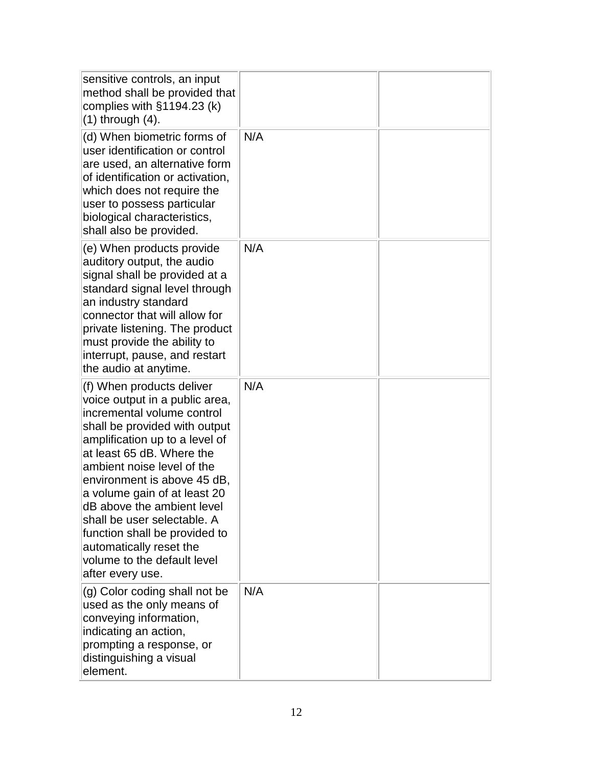| sensitive controls, an input<br>method shall be provided that<br>complies with $§1194.23$ (k)<br>$(1)$ through $(4)$ .                                                                                                                                                                                                                                                                                                                                             | N/A |  |
|--------------------------------------------------------------------------------------------------------------------------------------------------------------------------------------------------------------------------------------------------------------------------------------------------------------------------------------------------------------------------------------------------------------------------------------------------------------------|-----|--|
| (d) When biometric forms of<br>user identification or control<br>are used, an alternative form<br>of identification or activation,<br>which does not require the<br>user to possess particular<br>biological characteristics,<br>shall also be provided.                                                                                                                                                                                                           |     |  |
| (e) When products provide<br>auditory output, the audio<br>signal shall be provided at a<br>standard signal level through<br>an industry standard<br>connector that will allow for<br>private listening. The product<br>must provide the ability to<br>interrupt, pause, and restart<br>the audio at anytime.                                                                                                                                                      | N/A |  |
| (f) When products deliver<br>voice output in a public area,<br>incremental volume control<br>shall be provided with output<br>amplification up to a level of<br>at least 65 dB. Where the<br>ambient noise level of the<br>environment is above 45 dB,<br>a volume gain of at least 20<br>dB above the ambient level<br>shall be user selectable. A<br>function shall be provided to<br>automatically reset the<br>volume to the default level<br>after every use. | N/A |  |
| (g) Color coding shall not be<br>used as the only means of<br>conveying information,<br>indicating an action,<br>prompting a response, or<br>distinguishing a visual<br>element.                                                                                                                                                                                                                                                                                   | N/A |  |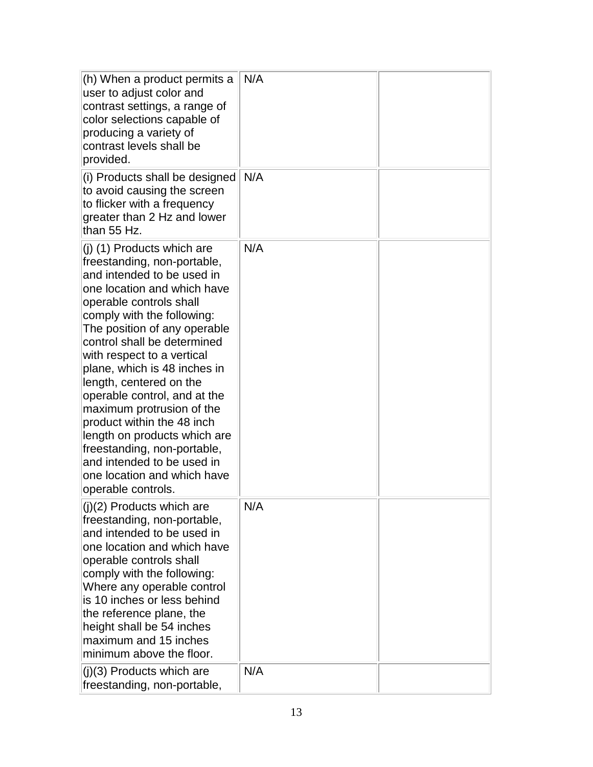| (h) When a product permits a<br>user to adjust color and<br>contrast settings, a range of<br>color selections capable of<br>producing a variety of<br>contrast levels shall be<br>provided.                                                                                                                                                                                                                                                                                                                                                                                            | N/A |  |
|----------------------------------------------------------------------------------------------------------------------------------------------------------------------------------------------------------------------------------------------------------------------------------------------------------------------------------------------------------------------------------------------------------------------------------------------------------------------------------------------------------------------------------------------------------------------------------------|-----|--|
| (i) Products shall be designed<br>to avoid causing the screen<br>to flicker with a frequency<br>greater than 2 Hz and lower<br>than 55 Hz.                                                                                                                                                                                                                                                                                                                                                                                                                                             | N/A |  |
| $(i)$ (1) Products which are<br>freestanding, non-portable,<br>and intended to be used in<br>one location and which have<br>operable controls shall<br>comply with the following:<br>The position of any operable<br>control shall be determined<br>with respect to a vertical<br>plane, which is 48 inches in<br>length, centered on the<br>operable control, and at the<br>maximum protrusion of the<br>product within the 48 inch<br>length on products which are<br>freestanding, non-portable,<br>and intended to be used in<br>one location and which have<br>operable controls. | N/A |  |
| (j)(2) Products which are<br>freestanding, non-portable,<br>and intended to be used in<br>one location and which have<br>operable controls shall<br>comply with the following:<br>Where any operable control<br>is 10 inches or less behind<br>the reference plane, the<br>height shall be 54 inches<br>maximum and 15 inches<br>minimum above the floor.                                                                                                                                                                                                                              | N/A |  |
| $(j)(3)$ Products which are<br>freestanding, non-portable,                                                                                                                                                                                                                                                                                                                                                                                                                                                                                                                             | N/A |  |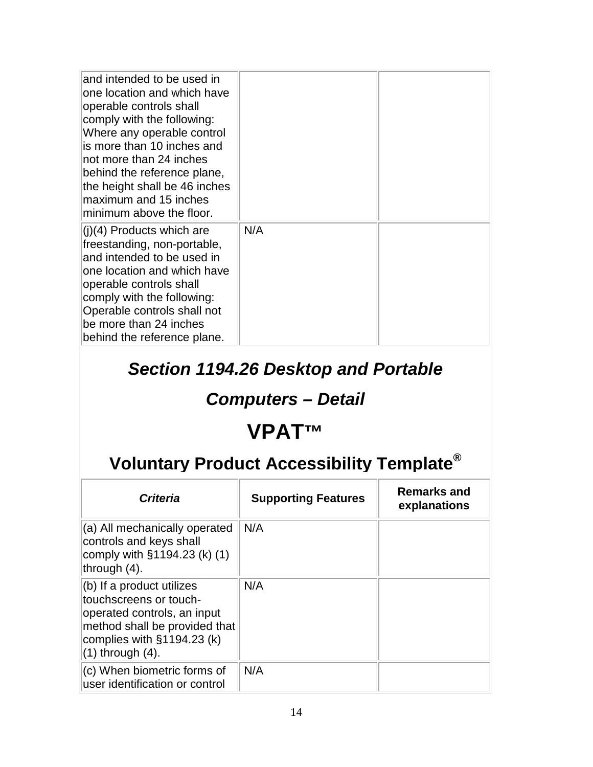| and intended to be used in<br>one location and which have<br>operable controls shall<br>comply with the following:<br>Where any operable control<br>is more than 10 inches and<br>not more than 24 inches<br>behind the reference plane,<br>the height shall be 46 inches<br>maximum and 15 inches<br>minimum above the floor. |     |  |
|--------------------------------------------------------------------------------------------------------------------------------------------------------------------------------------------------------------------------------------------------------------------------------------------------------------------------------|-----|--|
| $(i)(4)$ Products which are<br>freestanding, non-portable,<br>and intended to be used in<br>one location and which have<br>operable controls shall<br>comply with the following:<br>Operable controls shall not<br>be more than 24 inches<br>behind the reference plane.                                                       | N/A |  |

#### *Section 1194.26 Desktop and Portable*

# *Computers – Detail*

# **VPAT™**

| <b>Criteria</b>                                                                                                                                                            | <b>Supporting Features</b> | Remarks and<br>explanations |
|----------------------------------------------------------------------------------------------------------------------------------------------------------------------------|----------------------------|-----------------------------|
| (a) All mechanically operated<br>controls and keys shall<br>comply with $§1194.23$ (k) (1)<br>through $(4)$ .                                                              | N/A                        |                             |
| (b) If a product utilizes<br>touchscreens or touch-<br>operated controls, an input<br>method shall be provided that<br>complies with §1194.23 (k)<br>$(1)$ through $(4)$ . | N/A                        |                             |
| (c) When biometric forms of<br>user identification or control                                                                                                              | N/A                        |                             |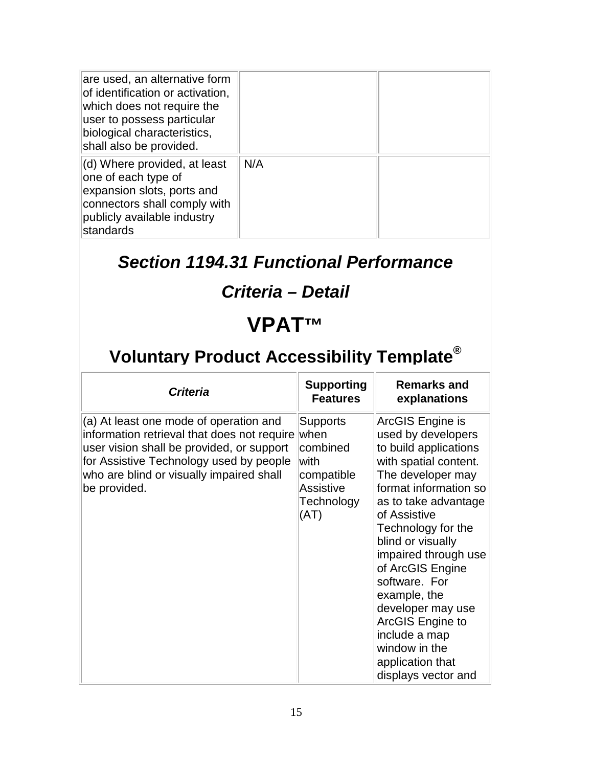| are used, an alternative form<br>of identification or activation,<br>which does not require the<br>user to possess particular<br>biological characteristics,<br>shall also be provided. |     |  |
|-----------------------------------------------------------------------------------------------------------------------------------------------------------------------------------------|-----|--|
| (d) Where provided, at least<br>one of each type of<br>expansion slots, ports and<br>connectors shall comply with<br>publicly available industry<br>standards                           | N/A |  |

#### *Section 1194.31 Functional Performance*

### *Criteria – Detail*

# **VPAT™**

| <b>Criteria</b>                                                                                                                                                                                                                           | <b>Supporting</b><br><b>Features</b>                                                          | <b>Remarks and</b><br>explanations                                                                                                                                                                                                                                                                                                                                                                                           |
|-------------------------------------------------------------------------------------------------------------------------------------------------------------------------------------------------------------------------------------------|-----------------------------------------------------------------------------------------------|------------------------------------------------------------------------------------------------------------------------------------------------------------------------------------------------------------------------------------------------------------------------------------------------------------------------------------------------------------------------------------------------------------------------------|
| (a) At least one mode of operation and<br>information retrieval that does not require<br>user vision shall be provided, or support<br>for Assistive Technology used by people<br>who are blind or visually impaired shall<br>be provided. | <b>Supports</b><br>when<br>combined<br>lwith<br>compatible<br>Assistive<br>Technology<br>(AT) | ArcGIS Engine is<br>used by developers<br>to build applications<br>with spatial content.<br>The developer may<br>format information so<br>as to take advantage<br>of Assistive<br>Technology for the<br>blind or visually<br>impaired through use<br>of ArcGIS Engine<br>software. For<br>example, the<br>developer may use<br>ArcGIS Engine to<br>include a map<br>window in the<br>application that<br>displays vector and |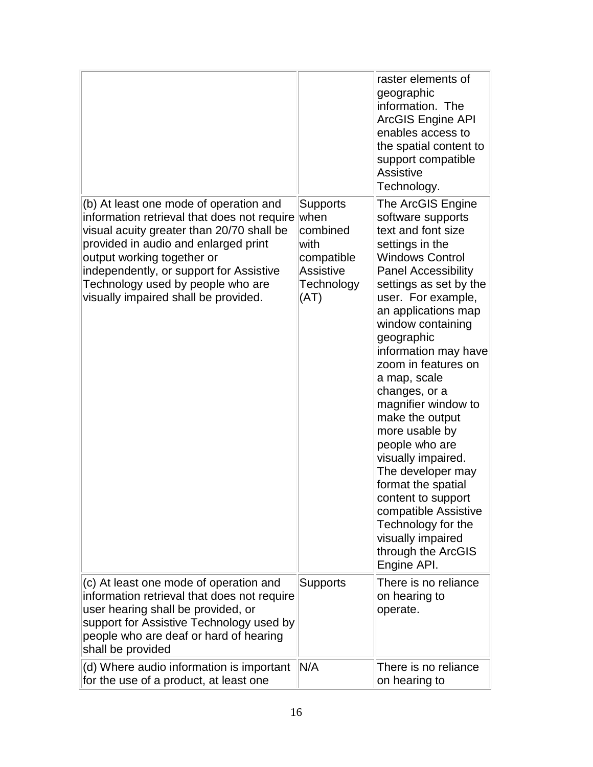|                                                                                                                                                                                                                                                                                                                                  |                                                                                        | raster elements of<br>geographic<br>linformation. The<br>ArcGIS Engine API<br>enables access to<br>the spatial content to<br>support compatible<br>Assistive<br>Technology.                                                                                                                                                                                                                                                                                                                                                                                                                                    |
|----------------------------------------------------------------------------------------------------------------------------------------------------------------------------------------------------------------------------------------------------------------------------------------------------------------------------------|----------------------------------------------------------------------------------------|----------------------------------------------------------------------------------------------------------------------------------------------------------------------------------------------------------------------------------------------------------------------------------------------------------------------------------------------------------------------------------------------------------------------------------------------------------------------------------------------------------------------------------------------------------------------------------------------------------------|
| (b) At least one mode of operation and<br>information retrieval that does not require<br>visual acuity greater than 20/70 shall be<br>provided in audio and enlarged print<br>output working together or<br>independently, or support for Assistive<br>Technology used by people who are<br>visually impaired shall be provided. | Supports<br>when<br>combined<br>lwith<br>compatible<br>Assistive<br>Technology<br>(AT) | The ArcGIS Engine<br>software supports<br>text and font size<br>settings in the<br><b>Windows Control</b><br><b>Panel Accessibility</b><br>settings as set by the<br>user. For example,<br>an applications map<br>window containing<br>geographic<br>information may have<br>zoom in features on<br>a map, scale<br>changes, or a<br>magnifier window to<br>make the output<br>more usable by<br>people who are<br>visually impaired.<br>The developer may<br>format the spatial<br>content to support<br>compatible Assistive<br>Technology for the<br>visually impaired<br>through the ArcGIS<br>Engine API. |
| (c) At least one mode of operation and<br>information retrieval that does not require<br>user hearing shall be provided, or<br>support for Assistive Technology used by<br>people who are deaf or hard of hearing<br>shall be provided                                                                                           | <b>Supports</b>                                                                        | There is no reliance<br>on hearing to<br>operate.                                                                                                                                                                                                                                                                                                                                                                                                                                                                                                                                                              |
| (d) Where audio information is important<br>for the use of a product, at least one                                                                                                                                                                                                                                               | N/A                                                                                    | There is no reliance<br>on hearing to                                                                                                                                                                                                                                                                                                                                                                                                                                                                                                                                                                          |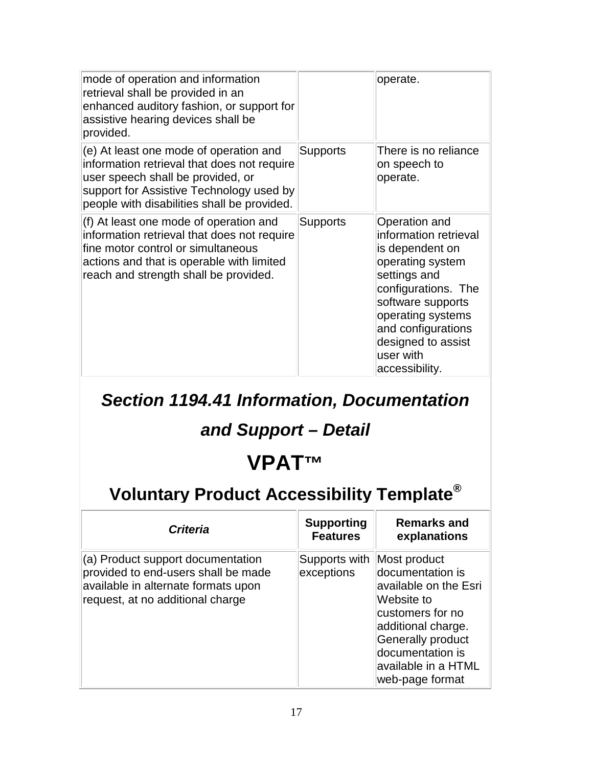| mode of operation and information<br>retrieval shall be provided in an<br>enhanced auditory fashion, or support for<br>assistive hearing devices shall be<br>provided.                                                |                 | operate.                                                                                                                                                                                                                                  |
|-----------------------------------------------------------------------------------------------------------------------------------------------------------------------------------------------------------------------|-----------------|-------------------------------------------------------------------------------------------------------------------------------------------------------------------------------------------------------------------------------------------|
| (e) At least one mode of operation and<br>information retrieval that does not require<br>user speech shall be provided, or<br>support for Assistive Technology used by<br>people with disabilities shall be provided. | <b>Supports</b> | There is no reliance<br>on speech to<br>operate.                                                                                                                                                                                          |
| (f) At least one mode of operation and<br>information retrieval that does not require<br>fine motor control or simultaneous<br>actions and that is operable with limited<br>reach and strength shall be provided.     | Supports        | Operation and<br>information retrieval<br>is dependent on<br>operating system<br>settings and<br>configurations. The<br>software supports<br>operating systems<br>and configurations<br>designed to assist<br>user with<br>accessibility. |

*Section 1194.41 Information, Documentation* 

#### *and Support – Detail*

# **VPAT™**

| <b>Criteria</b>                                                                                                                                     | <b>Supporting</b><br><b>Features</b> | Remarks and<br>explanations                                                                                                                                                                                 |
|-----------------------------------------------------------------------------------------------------------------------------------------------------|--------------------------------------|-------------------------------------------------------------------------------------------------------------------------------------------------------------------------------------------------------------|
| (a) Product support documentation<br>provided to end-users shall be made<br>available in alternate formats upon<br>request, at no additional charge | Supports with<br>exceptions          | Most product<br>documentation is<br>available on the Esri<br>Website to<br>customers for no<br>additional charge.<br><b>Generally product</b><br>documentation is<br>available in a HTML<br>web-page format |